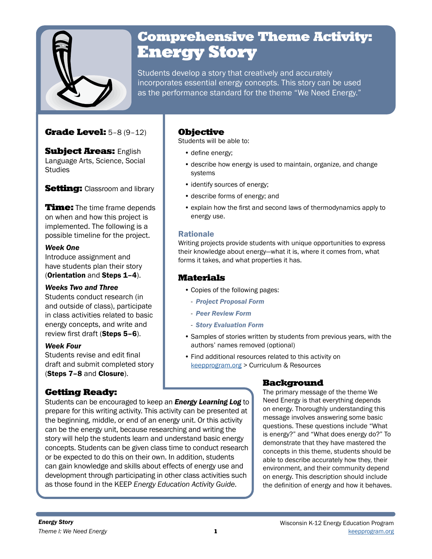

## Comprehensive Theme Activity: Energy Story

Students develop a story that creatively and accurately incorporates essential energy concepts. This story can be used as the performance standard for the theme "We Need Energy."

## **Grade Level:** 5-8 (9-12)

**Subject Areas: English** Language Arts, Science, Social **Studies** 

**Setting:** Classroom and library

**Time:** The time frame depends on when and how this project is implemented. The following is a possible timeline for the project.

#### *Week One*

Introduce assignment and have students plan their story (Orientation and Steps 1–4).

#### *Weeks Two and Three*

Students conduct research (in and outside of class), participate in class activities related to basic energy concepts, and write and review first draft (Steps 5–6).

#### *Week Four*

Students revise and edit final draft and submit completed story (Steps 7–8 and Closure).

## Getting Ready:

Students can be encouraged to keep an *Energy Learning Log* to prepare for this writing activity. This activity can be presented at the beginning, middle, or end of an energy unit. Or this activity can be the energy unit, because researching and writing the story will help the students learn and understand basic energy concepts. Students can be given class time to conduct research or be expected to do this on their own. In addition, students can gain knowledge and skills about effects of energy use and development through participating in other class activities such as those found in the KEEP *Energy Education Activity Guide*.

**Objective** 

Students will be able to:

- define energy;
- describe how energy is used to maintain, organize, and change systems
- identify sources of energy;
- describe forms of energy; and
- explain how the first and second laws of thermodynamics apply to energy use.

#### Rationale

Writing projects provide students with unique opportunities to express their knowledge about energy—what it is, where it comes from, what forms it takes, and what properties it has.

## Materials

- Copies of the following pages:
	- *Project Proposal Form*
	- *Peer Review Form*
	- *Story Evaluation Form*
- Samples of stories written by students from previous years, with the authors' names removed (optional)
- Find additional resources related to this activity on [keepprogram.org](http://keepprogram.org) > Curriculum & Resources

## **Background**

The primary message of the theme We Need Energy is that everything depends on energy. Thoroughly understanding this message involves answering some basic questions. These questions include "What is energy?" and "What does energy do?" To demonstrate that they have mastered the concepts in this theme, students should be able to describe accurately how they, their environment, and their community depend on energy. This description should include the definition of energy and how it behaves.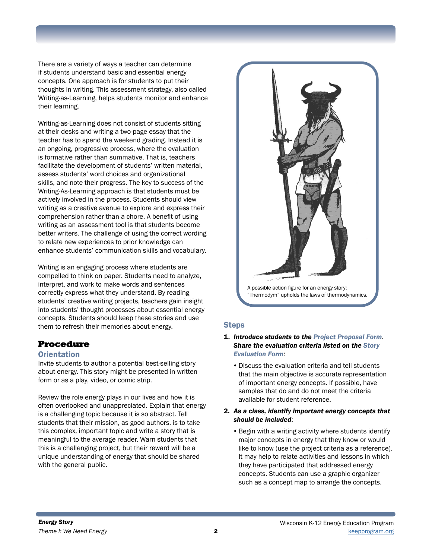There are a variety of ways a teacher can determine if students understand basic and essential energy concepts. One approach is for students to put their thoughts in writing. This assessment strategy, also called Writing-as-Learning, helps students monitor and enhance their learning.

Writing-as-Learning does not consist of students sitting at their desks and writing a two-page essay that the teacher has to spend the weekend grading. Instead it is an ongoing, progressive process, where the evaluation is formative rather than summative. That is, teachers facilitate the development of students' written material, assess students' word choices and organizational skills, and note their progress. The key to success of the Writing-As-Learning approach is that students must be actively involved in the process. Students should view writing as a creative avenue to explore and express their comprehension rather than a chore. A benefit of using writing as an assessment tool is that students become better writers. The challenge of using the correct wording to relate new experiences to prior knowledge can enhance students' communication skills and vocabulary.

Writing is an engaging process where students are compelled to think on paper. Students need to analyze, interpret, and work to make words and sentences correctly express what they understand. By reading students' creative writing projects, teachers gain insight into students' thought processes about essential energy concepts. Students should keep these stories and use them to refresh their memories about energy.

## Procedure

#### **Orientation**

Invite students to author a potential best-selling story about energy. This story might be presented in written form or as a play, video, or comic strip.

Review the role energy plays in our lives and how it is often overlooked and unappreciated. Explain that energy is a challenging topic because it is so abstract. Tell students that their mission, as good authors, is to take this complex, important topic and write a story that is meaningful to the average reader. Warn students that this is a challenging project, but their reward will be a unique understanding of energy that should be shared with the general public.



#### **Steps**

- 1. *Introduce students to the Project Proposal Form*. *Share the evaluation criteria listed on the Story Evaluation Form*:
	- •Discuss the evaluation criteria and tell students that the main objective is accurate representation of important energy concepts. If possible, have samples that do and do not meet the criteria available for student reference.

#### 2. *As a class, identify important energy concepts that should be included*:

•Begin with a writing activity where students identify major concepts in energy that they know or would like to know (use the project criteria as a reference). It may help to relate activities and lessons in which they have participated that addressed energy concepts. Students can use a graphic organizer such as a concept map to arrange the concepts.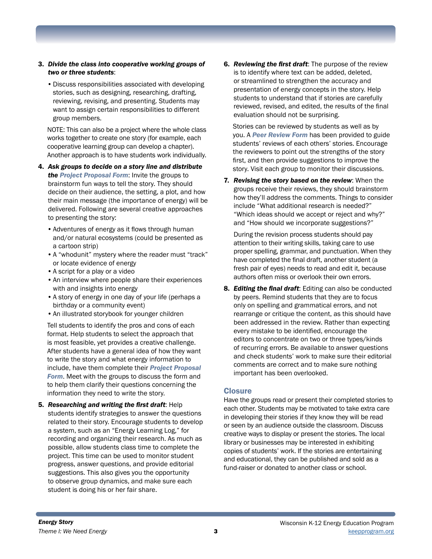- 3. *Divide the class into cooperative working groups of two or three students*:
	- •Discuss responsibilities associated with developing stories, such as designing, researching, drafting, reviewing, revising, and presenting. Students may want to assign certain responsibilities to different group members.

NOTE: This can also be a project where the whole class works together to create one story (for example, each cooperative learning group can develop a chapter). Another approach is to have students work individually.

- 4. *Ask groups to decide on a story line and distribute the Project Proposal Form*: Invite the groups to brainstorm fun ways to tell the story. They should decide on their audience, the setting, a plot, and how their main message (the importance of energy) will be delivered. Following are several creative approaches to presenting the story:
	- •Adventures of energy as it flows through human and/or natural ecosystems (could be presented as a cartoon strip)
	- •A "whodunit" mystery where the reader must "track" or locate evidence of energy
	- •A script for a play or a video
	- •An interview where people share their experiences with and insights into energy
	- •A story of energy in one day of your life (perhaps a birthday or a community event)
	- •An illustrated storybook for younger children

Tell students to identify the pros and cons of each format. Help students to select the approach that is most feasible, yet provides a creative challenge. After students have a general idea of how they want to write the story and what energy information to include, have them complete their *Project Proposal Form*. Meet with the groups to discuss the form and to help them clarify their questions concerning the information they need to write the story.

5. *Researching and writing the first draft*: Help students identify strategies to answer the questions related to their story. Encourage students to develop a system, such as an "Energy Learning Log," for recording and organizing their research. As much as possible, allow students class time to complete the project. This time can be used to monitor student progress, answer questions, and provide editorial suggestions. This also gives you the opportunity to observe group dynamics, and make sure each student is doing his or her fair share.

6. *Reviewing the first draft*: The purpose of the review is to identify where text can be added, deleted, or streamlined to strengthen the accuracy and presentation of energy concepts in the story. Help students to understand that if stories are carefully reviewed, revised, and edited, the results of the final evaluation should not be surprising.

Stories can be reviewed by students as well as by you. A *Peer Review Form* has been provided to guide students' reviews of each others' stories. Encourage the reviewers to point out the strengths of the story first, and then provide suggestions to improve the story. Visit each group to monitor their discussions.

7. *Revising the story based on the review*: When the groups receive their reviews, they should brainstorm how they'll address the comments. Things to consider include "What additional research is needed?" "Which ideas should we accept or reject and why?" and "How should we incorporate suggestions?"

During the revision process students should pay attention to their writing skills, taking care to use proper spelling, grammar, and punctuation. When they have completed the final draft, another student (a fresh pair of eyes) needs to read and edit it, because authors often miss or overlook their own errors.

8. *Editing the final draft*: Editing can also be conducted by peers. Remind students that they are to focus only on spelling and grammatical errors, and not rearrange or critique the content, as this should have been addressed in the review. Rather than expecting every mistake to be identified, encourage the editors to concentrate on two or three types/kinds of recurring errors. Be available to answer questions and check students' work to make sure their editorial comments are correct and to make sure nothing important has been overlooked.

#### **Closure**

Have the groups read or present their completed stories to each other. Students may be motivated to take extra care in developing their stories if they know they will be read or seen by an audience outside the classroom. Discuss creative ways to display or present the stories. The local library or businesses may be interested in exhibiting copies of students' work. If the stories are entertaining and educational, they can be published and sold as a fund-raiser or donated to another class or school.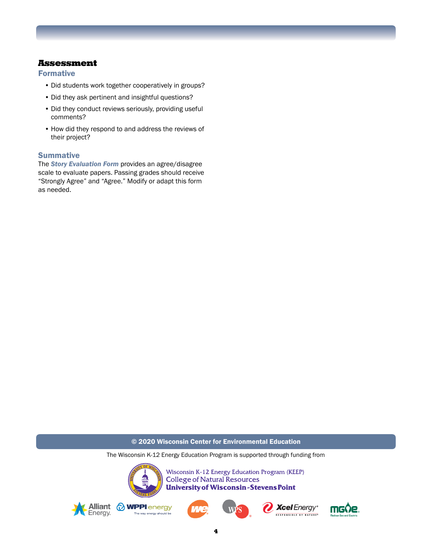#### Assessment

#### Formative

- Did students work together cooperatively in groups?
- Did they ask pertinent and insightful questions?
- Did they conduct reviews seriously, providing useful comments?
- How did they respond to and address the reviews of their project?

#### **Summative**

The *Story Evaluation Form* provides an agree/disagree scale to evaluate papers. Passing grades should receive "Strongly Agree" and "Agree." Modify or adapt this form as needed.

#### © 2020 Wisconsin Center for Environmental Education

The Wisconsin K-12 Energy Education Program is supported through funding from



Wisconsin K-12 Energy Education Program (KEEP) **College of Natural Resources University of Wisconsin-Stevens Point** 











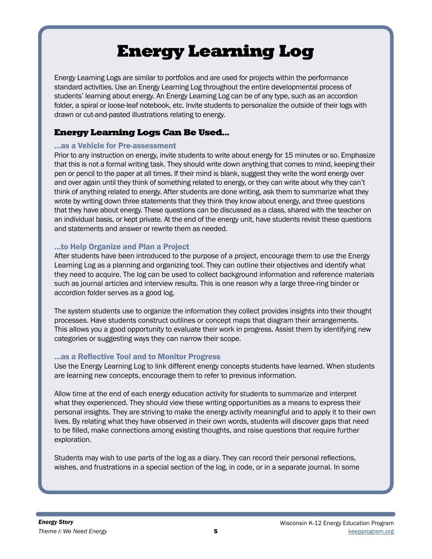# Energy Learning Log

Energy Learning Logs are similar to portfolios and are used for projects within the performance standard activities. Use an Energy Learning Log throughout the entire developmental process of students' learning about energy. An Energy Learning Log can be of any type, such as an accordion folder, a spiral or loose-leaf notebook, etc. Invite students to personalize the outside of their logs with drawn or cut-and-pasted illustrations relating to energy.

## Energy Learning Logs Can Be Used…

#### …as a Vehicle for Pre-assessment

Prior to any instruction on energy, invite students to write about energy for 15 minutes or so. Emphasize that this is not a formal writing task. They should write down anything that comes to mind, keeping their pen or pencil to the paper at all times. If their mind is blank, suggest they write the word energy over and over again until they think of something related to energy, or they can write about why they can't think of anything related to energy. After students are done writing, ask them to summarize what they wrote by writing down three statements that they think they know about energy, and three questions that they have about energy. These questions can be discussed as a class, shared with the teacher on an individual basis, or kept private. At the end of the energy unit, have students revisit these questions and statements and answer or rewrite them as needed.

#### …to Help Organize and Plan a Project

After students have been introduced to the purpose of a project, encourage them to use the Energy Learning Log as a planning and organizing tool. They can outline their objectives and identify what they need to acquire. The log can be used to collect background information and reference materials such as journal articles and interview results. This is one reason why a large three-ring binder or accordion folder serves as a good log.

The system students use to organize the information they collect provides insights into their thought processes. Have students construct outlines or concept maps that diagram their arrangements. This allows you a good opportunity to evaluate their work in progress. Assist them by identifying new categories or suggesting ways they can narrow their scope.

#### …as a Reflective Tool and to Monitor Progress

Use the Energy Learning Log to link different energy concepts students have learned. When students are learning new concepts, encourage them to refer to previous information.

Allow time at the end of each energy education activity for students to summarize and interpret what they experienced. They should view these writing opportunities as a means to express their personal insights. They are striving to make the energy activity meaningful and to apply it to their own lives. By relating what they have observed in their own words, students will discover gaps that need to be filled, make connections among existing thoughts, and raise questions that require further exploration.

Students may wish to use parts of the log as a diary. They can record their personal reflections, wishes, and frustrations in a special section of the log, in code, or in a separate journal. In some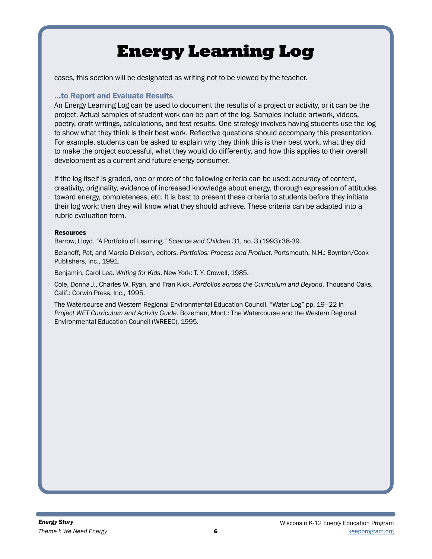## Energy Learning Log

cases, this section will be designated as writing not to be viewed by the teacher.

#### …to Report and Evaluate Results

An Energy Learning Log can be used to document the results of a project or activity, or it can be the project. Actual samples of student work can be part of the log. Samples include artwork, videos, poetry, draft writings, calculations, and test results. One strategy involves having students use the log to show what they think is their best work. Reflective questions should accompany this presentation. For example, students can be asked to explain why they think this is their best work, what they did to make the project successful, what they would do differently, and how this applies to their overall development as a current and future energy consumer.

If the log itself is graded, one or more of the following criteria can be used: accuracy of content, creativity, originality, evidence of increased knowledge about energy, thorough expression of attitudes toward energy, completeness, etc. It is best to present these criteria to students before they initiate their log work; then they will know what they should achieve. These criteria can be adapted into a rubric evaluation form.

#### Resources

Barrow, Lloyd. "A Portfolio of Learning." *Science and Children* 31, no. 3 (1993):38-39.

Belanoff, Pat, and Marcia Dickson, editors. *Portfolios: Process and Product*. Portsmouth, N.H.: Boynton/Cook Publishers, Inc., 1991.

Benjamin, Carol Lea. *Writing for Kids*. New York: T. Y. Crowell, 1985.

Cole, Donna J., Charles W. Ryan, and Fran Kick. *Portfolios across the Curriculum and Beyond*. Thousand Oaks, Calif.: Corwin Press, Inc., 1995.

The Watercourse and Western Regional Environmental Education Council. "Water Log" pp. 19–22 in *Project WET Curriculum and Activity Guide*. Bozeman, Mont.: The Watercourse and the Western Regional Environmental Education Council (WREEC), 1995.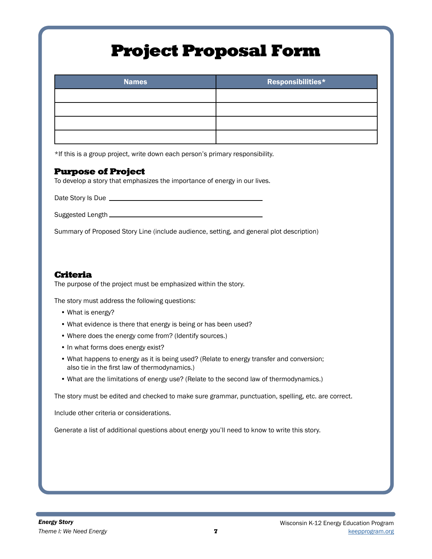# Project Proposal Form

| <b>Names</b> | Responsibilities* |
|--------------|-------------------|
|              |                   |
|              |                   |
|              |                   |
|              |                   |

\*If this is a group project, write down each person's primary responsibility.

## Purpose of Project

To develop a story that emphasizes the importance of energy in our lives.

Date Story Is Due **contained a large state Story Is Due** 

| Suggested Length. |  |
|-------------------|--|

Summary of Proposed Story Line (include audience, setting, and general plot description)

## Criteria

The purpose of the project must be emphasized within the story.

The story must address the following questions:

- What is energy?
- What evidence is there that energy is being or has been used?
- Where does the energy come from? (Identify sources.)
- In what forms does energy exist?
- What happens to energy as it is being used? (Relate to energy transfer and conversion; also tie in the first law of thermodynamics.)
- What are the limitations of energy use? (Relate to the second law of thermodynamics.)

The story must be edited and checked to make sure grammar, punctuation, spelling, etc. are correct.

Include other criteria or considerations.

Generate a list of additional questions about energy you'll need to know to write this story.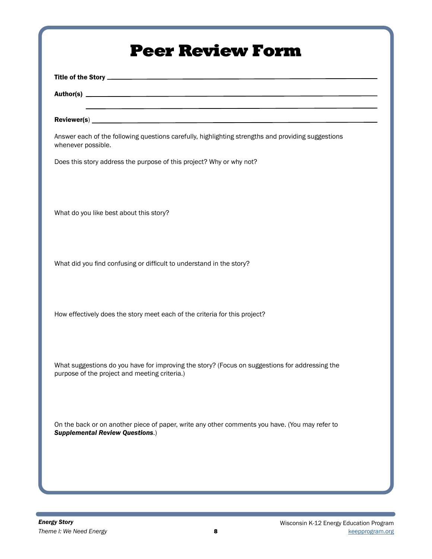|                                               |                                                                            | <u> 1989 - Johann Stoff, amerikansk politiker (* 1908)</u><br>Reviewer(s) <u>New Secretary Contract Communications</u> |  |
|-----------------------------------------------|----------------------------------------------------------------------------|------------------------------------------------------------------------------------------------------------------------|--|
| whenever possible.                            |                                                                            | Answer each of the following questions carefully, highlighting strengths and providing suggestions                     |  |
|                                               | Does this story address the purpose of this project? Why or why not?       |                                                                                                                        |  |
|                                               |                                                                            |                                                                                                                        |  |
| What do you like best about this story?       |                                                                            |                                                                                                                        |  |
|                                               |                                                                            |                                                                                                                        |  |
|                                               | What did you find confusing or difficult to understand in the story?       |                                                                                                                        |  |
|                                               |                                                                            |                                                                                                                        |  |
|                                               | How effectively does the story meet each of the criteria for this project? |                                                                                                                        |  |
|                                               |                                                                            |                                                                                                                        |  |
|                                               |                                                                            |                                                                                                                        |  |
| purpose of the project and meeting criteria.) |                                                                            | What suggestions do you have for improving the story? (Focus on suggestions for addressing the                         |  |
|                                               |                                                                            |                                                                                                                        |  |
| <b>Supplemental Review Questions.)</b>        |                                                                            | On the back or on another piece of paper, write any other comments you have. (You may refer to                         |  |
|                                               |                                                                            |                                                                                                                        |  |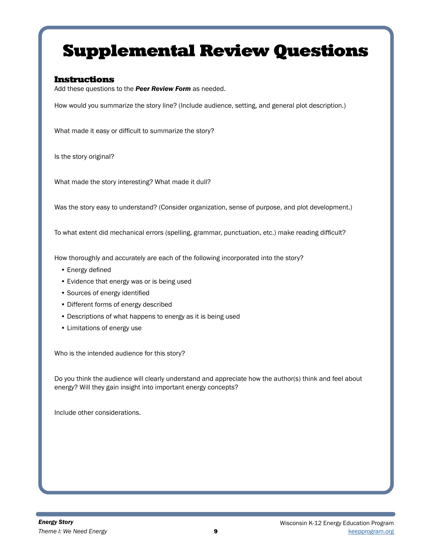# Supplemental Review Questions

#### Instructions

Add these questions to the *Peer Review Form* as needed.

How would you summarize the story line? (Include audience, setting, and general plot description.)

What made it easy or difficult to summarize the story?

Is the story original?

What made the story interesting? What made it dull?

Was the story easy to understand? (Consider organization, sense of purpose, and plot development.)

To what extent did mechanical errors (spelling, grammar, punctuation, etc.) make reading difficult?

How thoroughly and accurately are each of the following incorporated into the story?

- Energy defined
- Evidence that energy was or is being used
- Sources of energy identified
- Different forms of energy described
- Descriptions of what happens to energy as it is being used
- Limitations of energy use

Who is the intended audience for this story?

Do you think the audience will clearly understand and appreciate how the author(s) think and feel about energy? Will they gain insight into important energy concepts?

Include other considerations.